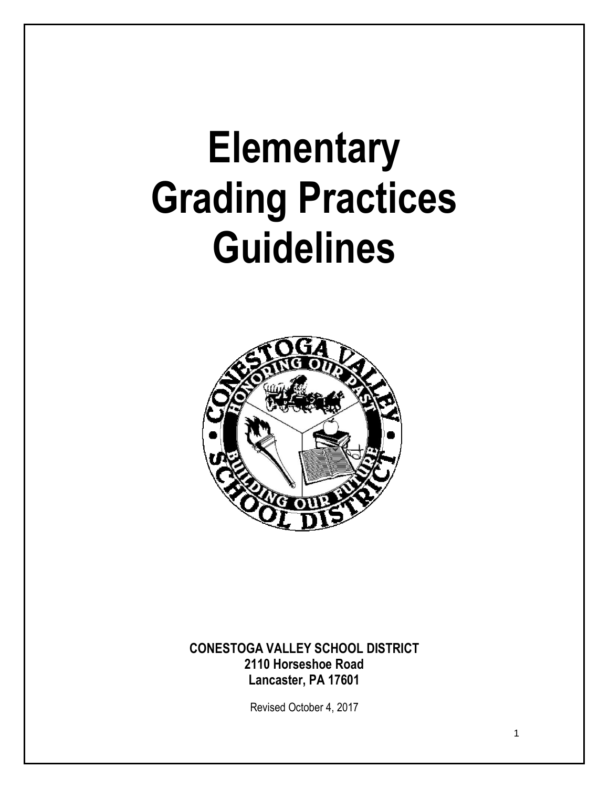# **Elementary Grading Practices Guidelines**



# **CONESTOGA VALLEY SCHOOL DISTRICT 2110 Horseshoe Road Lancaster, PA 17601**

Revised October 4, 2017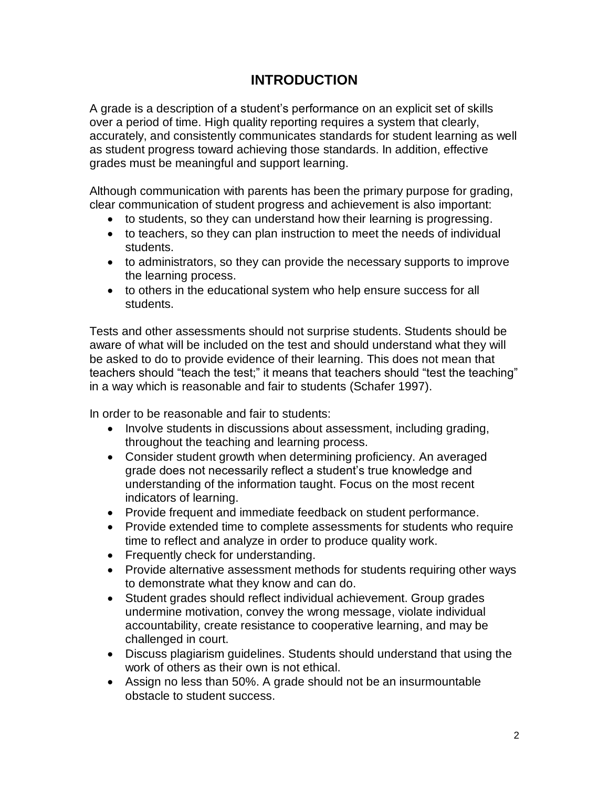# **INTRODUCTION**

A grade is a description of a student's performance on an explicit set of skills over a period of time. High quality reporting requires a system that clearly, accurately, and consistently communicates standards for student learning as well as student progress toward achieving those standards. In addition, effective grades must be meaningful and support learning.

Although communication with parents has been the primary purpose for grading, clear communication of student progress and achievement is also important:

- to students, so they can understand how their learning is progressing.
- to teachers, so they can plan instruction to meet the needs of individual students.
- to administrators, so they can provide the necessary supports to improve the learning process.
- to others in the educational system who help ensure success for all students.

Tests and other assessments should not surprise students. Students should be aware of what will be included on the test and should understand what they will be asked to do to provide evidence of their learning. This does not mean that teachers should "teach the test;" it means that teachers should "test the teaching" in a way which is reasonable and fair to students (Schafer 1997).

In order to be reasonable and fair to students:

- Involve students in discussions about assessment, including grading, throughout the teaching and learning process.
- Consider student growth when determining proficiency. An averaged grade does not necessarily reflect a student's true knowledge and understanding of the information taught. Focus on the most recent indicators of learning.
- Provide frequent and immediate feedback on student performance.
- Provide extended time to complete assessments for students who require time to reflect and analyze in order to produce quality work.
- Frequently check for understanding.
- Provide alternative assessment methods for students requiring other ways to demonstrate what they know and can do.
- Student grades should reflect individual achievement. Group grades undermine motivation, convey the wrong message, violate individual accountability, create resistance to cooperative learning, and may be challenged in court.
- Discuss plagiarism guidelines. Students should understand that using the work of others as their own is not ethical.
- Assign no less than 50%. A grade should not be an insurmountable obstacle to student success.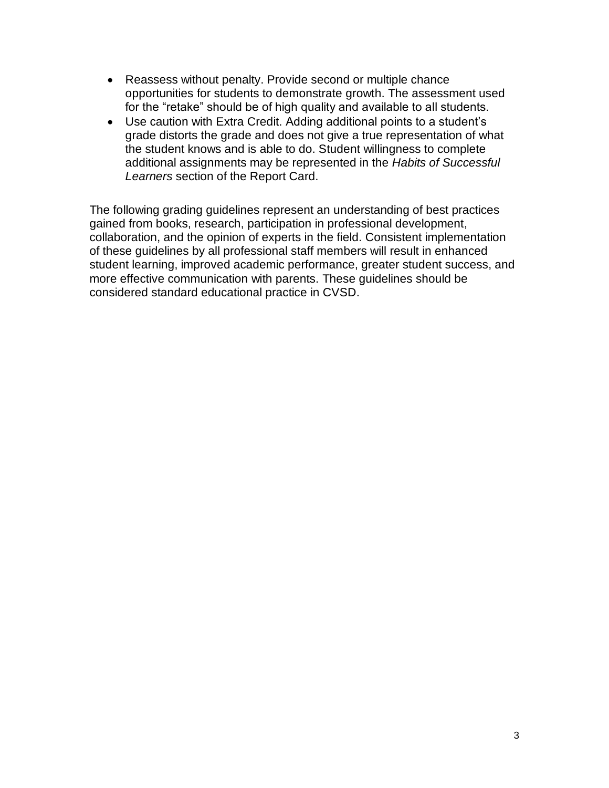- Reassess without penalty. Provide second or multiple chance opportunities for students to demonstrate growth. The assessment used for the "retake" should be of high quality and available to all students.
- Use caution with Extra Credit. Adding additional points to a student's grade distorts the grade and does not give a true representation of what the student knows and is able to do. Student willingness to complete additional assignments may be represented in the *Habits of Successful Learners* section of the Report Card.

The following grading guidelines represent an understanding of best practices gained from books, research, participation in professional development, collaboration, and the opinion of experts in the field. Consistent implementation of these guidelines by all professional staff members will result in enhanced student learning, improved academic performance, greater student success, and more effective communication with parents. These guidelines should be considered standard educational practice in CVSD.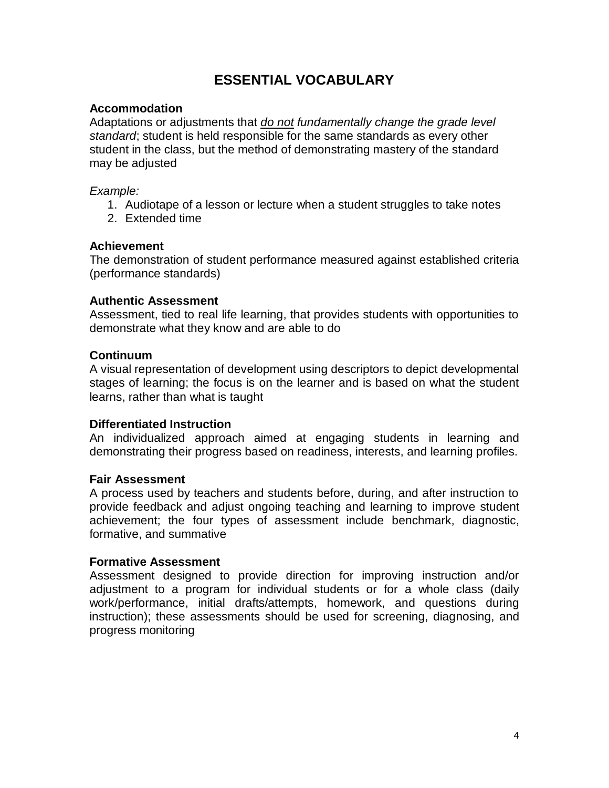# **ESSENTIAL VOCABULARY**

## **Accommodation**

Adaptations or adjustments that *do not fundamentally change the grade level standard*; student is held responsible for the same standards as every other student in the class, but the method of demonstrating mastery of the standard may be adjusted

## *Example:*

- 1. Audiotape of a lesson or lecture when a student struggles to take notes
- 2. Extended time

#### **Achievement**

The demonstration of student performance measured against established criteria (performance standards)

#### **Authentic Assessment**

Assessment, tied to real life learning, that provides students with opportunities to demonstrate what they know and are able to do

## **Continuum**

A visual representation of development using descriptors to depict developmental stages of learning; the focus is on the learner and is based on what the student learns, rather than what is taught

## **Differentiated Instruction**

An individualized approach aimed at engaging students in learning and demonstrating their progress based on readiness, interests, and learning profiles.

#### **Fair Assessment**

A process used by teachers and students before, during, and after instruction to provide feedback and adjust ongoing teaching and learning to improve student achievement; the four types of assessment include benchmark, diagnostic, formative, and summative

#### **Formative Assessment**

Assessment designed to provide direction for improving instruction and/or adjustment to a program for individual students or for a whole class (daily work/performance, initial drafts/attempts, homework, and questions during instruction); these assessments should be used for screening, diagnosing, and progress monitoring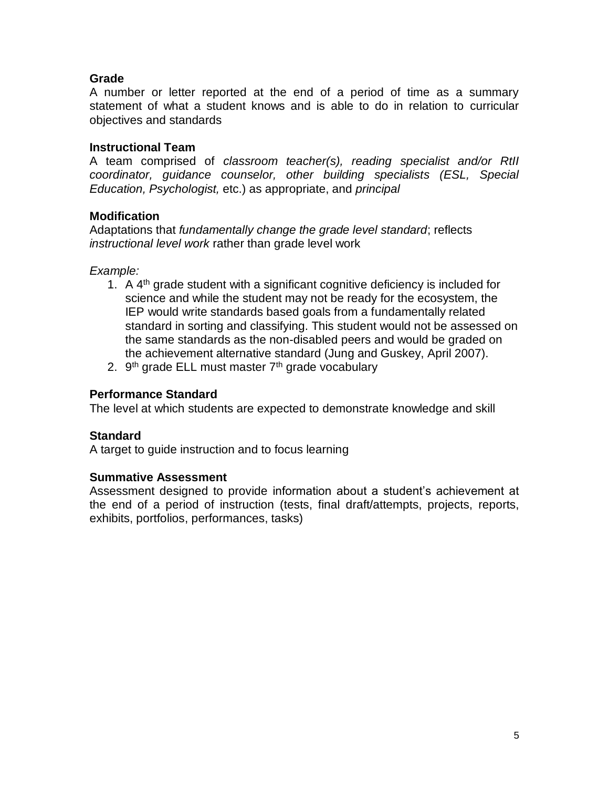# **Grade**

A number or letter reported at the end of a period of time as a summary statement of what a student knows and is able to do in relation to curricular objectives and standards

## **Instructional Team**

A team comprised of *classroom teacher(s), reading specialist and/or RtII coordinator, guidance counselor, other building specialists (ESL, Special Education, Psychologist,* etc.) as appropriate, and *principal*

# **Modification**

Adaptations that *fundamentally change the grade level standard*; reflects *instructional level work* rather than grade level work

## *Example:*

- 1. A  $4<sup>th</sup>$  grade student with a significant cognitive deficiency is included for science and while the student may not be ready for the ecosystem, the IEP would write standards based goals from a fundamentally related standard in sorting and classifying. This student would not be assessed on the same standards as the non-disabled peers and would be graded on the achievement alternative standard (Jung and Guskey, April 2007).
- 2. 9<sup>th</sup> grade ELL must master 7<sup>th</sup> grade vocabulary

## **Performance Standard**

The level at which students are expected to demonstrate knowledge and skill

## **Standard**

A target to guide instruction and to focus learning

## **Summative Assessment**

Assessment designed to provide information about a student's achievement at the end of a period of instruction (tests, final draft/attempts, projects, reports, exhibits, portfolios, performances, tasks)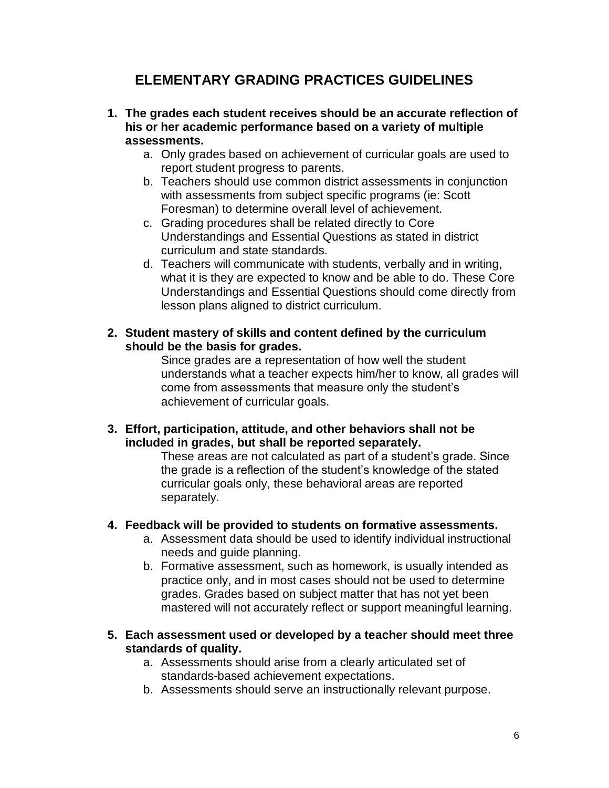# **ELEMENTARY GRADING PRACTICES GUIDELINES**

- **1. The grades each student receives should be an accurate reflection of his or her academic performance based on a variety of multiple assessments.**
	- a. Only grades based on achievement of curricular goals are used to report student progress to parents.
	- b. Teachers should use common district assessments in conjunction with assessments from subject specific programs (ie: Scott Foresman) to determine overall level of achievement.
	- c. Grading procedures shall be related directly to Core Understandings and Essential Questions as stated in district curriculum and state standards.
	- d. Teachers will communicate with students, verbally and in writing, what it is they are expected to know and be able to do. These Core Understandings and Essential Questions should come directly from lesson plans aligned to district curriculum.
- **2. Student mastery of skills and content defined by the curriculum should be the basis for grades.**

Since grades are a representation of how well the student understands what a teacher expects him/her to know, all grades will come from assessments that measure only the student's achievement of curricular goals.

**3. Effort, participation, attitude, and other behaviors shall not be included in grades, but shall be reported separately.** 

These areas are not calculated as part of a student's grade. Since the grade is a reflection of the student's knowledge of the stated curricular goals only, these behavioral areas are reported separately.

# **4. Feedback will be provided to students on formative assessments.**

- a. Assessment data should be used to identify individual instructional needs and guide planning.
- b. Formative assessment, such as homework, is usually intended as practice only, and in most cases should not be used to determine grades. Grades based on subject matter that has not yet been mastered will not accurately reflect or support meaningful learning.
- **5. Each assessment used or developed by a teacher should meet three standards of quality.**
	- a. Assessments should arise from a clearly articulated set of standards-based achievement expectations.
	- b. Assessments should serve an instructionally relevant purpose.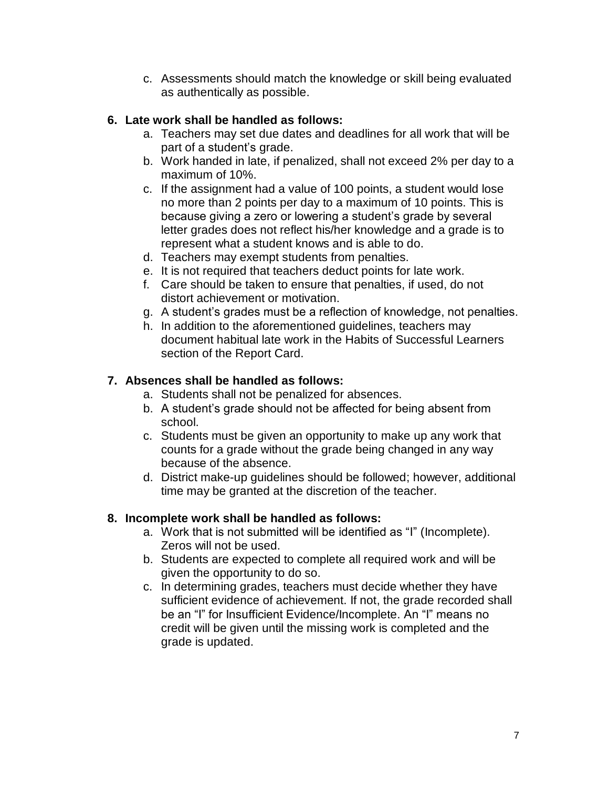c. Assessments should match the knowledge or skill being evaluated as authentically as possible.

# **6. Late work shall be handled as follows:**

- a. Teachers may set due dates and deadlines for all work that will be part of a student's grade.
- b. Work handed in late, if penalized, shall not exceed 2% per day to a maximum of 10%.
- c. If the assignment had a value of 100 points, a student would lose no more than 2 points per day to a maximum of 10 points. This is because giving a zero or lowering a student's grade by several letter grades does not reflect his/her knowledge and a grade is to represent what a student knows and is able to do.
- d. Teachers may exempt students from penalties.
- e. It is not required that teachers deduct points for late work.
- f. Care should be taken to ensure that penalties, if used, do not distort achievement or motivation.
- g. A student's grades must be a reflection of knowledge, not penalties.
- h. In addition to the aforementioned guidelines, teachers may document habitual late work in the Habits of Successful Learners section of the Report Card.

# **7. Absences shall be handled as follows:**

- a. Students shall not be penalized for absences.
- b. A student's grade should not be affected for being absent from school.
- c. Students must be given an opportunity to make up any work that counts for a grade without the grade being changed in any way because of the absence.
- d. District make-up guidelines should be followed; however, additional time may be granted at the discretion of the teacher.

# **8. Incomplete work shall be handled as follows:**

- a. Work that is not submitted will be identified as "I" (Incomplete). Zeros will not be used.
- b. Students are expected to complete all required work and will be given the opportunity to do so.
- c. In determining grades, teachers must decide whether they have sufficient evidence of achievement. If not, the grade recorded shall be an "I" for Insufficient Evidence/Incomplete. An "I" means no credit will be given until the missing work is completed and the grade is updated.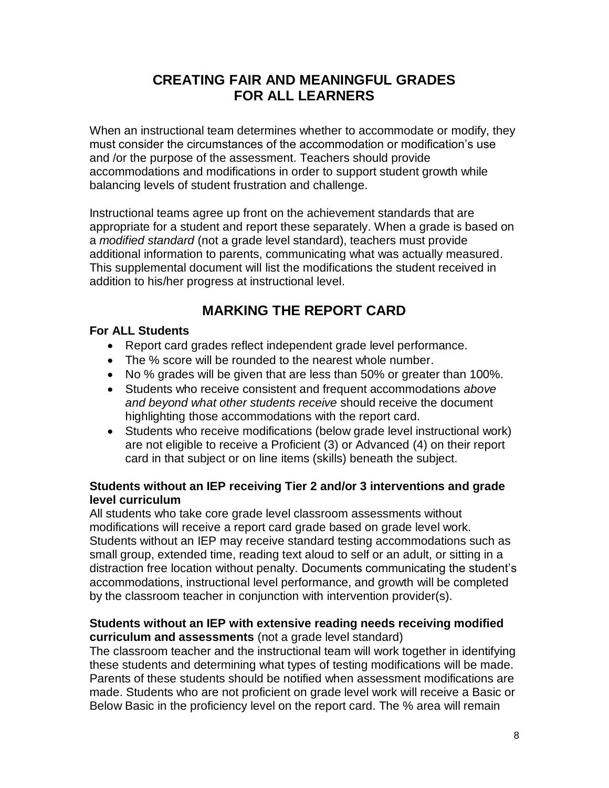# **CREATING FAIR AND MEANINGFUL GRADES FOR ALL LEARNERS**

When an instructional team determines whether to accommodate or modify, they must consider the circumstances of the accommodation or modification's use and /or the purpose of the assessment. Teachers should provide accommodations and modifications in order to support student growth while balancing levels of student frustration and challenge.

Instructional teams agree up front on the achievement standards that are appropriate for a student and report these separately. When a grade is based on a *modified standard* (not a grade level standard), teachers must provide additional information to parents, communicating what was actually measured. This supplemental document will list the modifications the student received in addition to his/her progress at instructional level.

# **MARKING THE REPORT CARD**

# **For ALL Students**

- Report card grades reflect independent grade level performance.
- The % score will be rounded to the nearest whole number.
- No % grades will be given that are less than 50% or greater than 100%.
- Students who receive consistent and frequent accommodations *above and beyond what other students receive* should receive the document highlighting those accommodations with the report card.
- Students who receive modifications (below grade level instructional work) are not eligible to receive a Proficient (3) or Advanced (4) on their report card in that subject or on line items (skills) beneath the subject.

# **Students without an IEP receiving Tier 2 and/or 3 interventions and grade level curriculum**

All students who take core grade level classroom assessments without modifications will receive a report card grade based on grade level work. Students without an IEP may receive standard testing accommodations such as small group, extended time, reading text aloud to self or an adult, or sitting in a distraction free location without penalty. Documents communicating the student's accommodations, instructional level performance, and growth will be completed by the classroom teacher in conjunction with intervention provider(s).

# **Students without an IEP with extensive reading needs receiving modified curriculum and assessments** (not a grade level standard)

The classroom teacher and the instructional team will work together in identifying these students and determining what types of testing modifications will be made. Parents of these students should be notified when assessment modifications are made. Students who are not proficient on grade level work will receive a Basic or Below Basic in the proficiency level on the report card. The % area will remain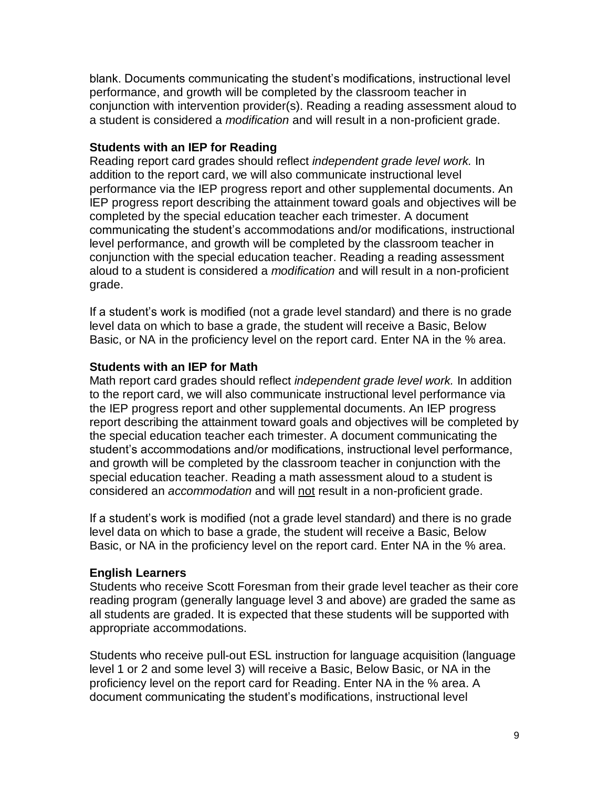blank. Documents communicating the student's modifications, instructional level performance, and growth will be completed by the classroom teacher in conjunction with intervention provider(s). Reading a reading assessment aloud to a student is considered a *modification* and will result in a non-proficient grade.

## **Students with an IEP for Reading**

Reading report card grades should reflect *independent grade level work.* In addition to the report card, we will also communicate instructional level performance via the IEP progress report and other supplemental documents. An IEP progress report describing the attainment toward goals and objectives will be completed by the special education teacher each trimester. A document communicating the student's accommodations and/or modifications, instructional level performance, and growth will be completed by the classroom teacher in conjunction with the special education teacher. Reading a reading assessment aloud to a student is considered a *modification* and will result in a non-proficient grade.

If a student's work is modified (not a grade level standard) and there is no grade level data on which to base a grade, the student will receive a Basic, Below Basic, or NA in the proficiency level on the report card. Enter NA in the % area.

## **Students with an IEP for Math**

Math report card grades should reflect *independent grade level work.* In addition to the report card, we will also communicate instructional level performance via the IEP progress report and other supplemental documents. An IEP progress report describing the attainment toward goals and objectives will be completed by the special education teacher each trimester. A document communicating the student's accommodations and/or modifications, instructional level performance, and growth will be completed by the classroom teacher in conjunction with the special education teacher. Reading a math assessment aloud to a student is considered an *accommodation* and will not result in a non-proficient grade.

If a student's work is modified (not a grade level standard) and there is no grade level data on which to base a grade, the student will receive a Basic, Below Basic, or NA in the proficiency level on the report card. Enter NA in the % area.

## **English Learners**

Students who receive Scott Foresman from their grade level teacher as their core reading program (generally language level 3 and above) are graded the same as all students are graded. It is expected that these students will be supported with appropriate accommodations.

Students who receive pull-out ESL instruction for language acquisition (language level 1 or 2 and some level 3) will receive a Basic, Below Basic, or NA in the proficiency level on the report card for Reading. Enter NA in the % area. A document communicating the student's modifications, instructional level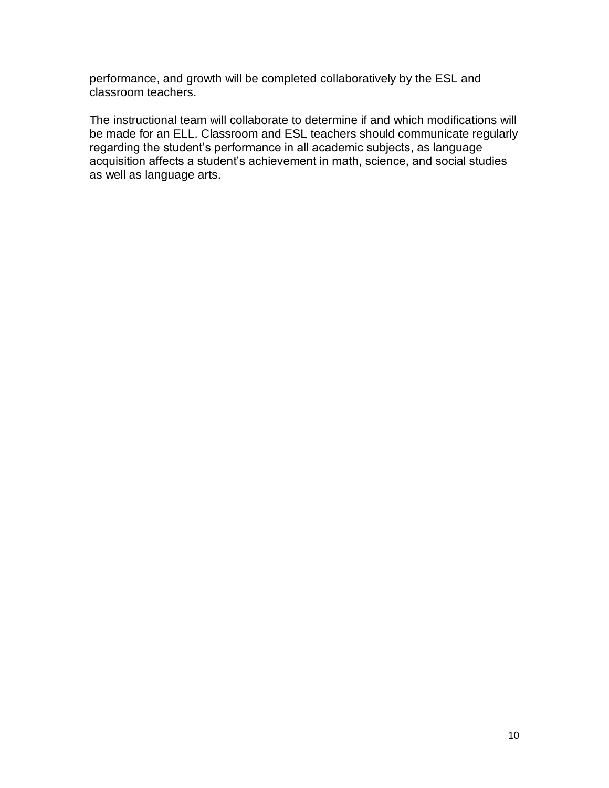performance, and growth will be completed collaboratively by the ESL and classroom teachers.

The instructional team will collaborate to determine if and which modifications will be made for an ELL. Classroom and ESL teachers should communicate regularly regarding the student's performance in all academic subjects, as language acquisition affects a student's achievement in math, science, and social studies as well as language arts.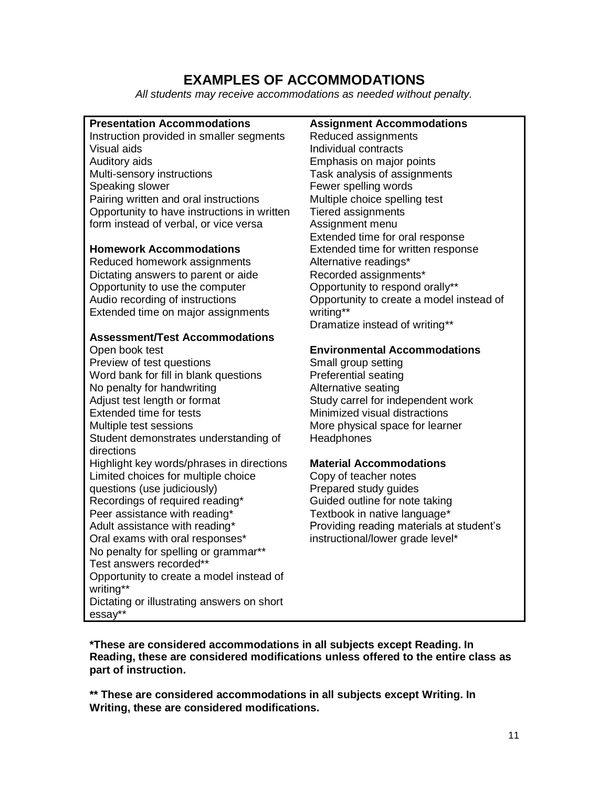# **EXAMPLES OF ACCOMMODATIONS**

*All students may receive accommodations as needed without penalty.*

#### **Presentation Accommodations** Instruction provided in smaller segments Visual aids Auditory aids Multi-sensory instructions Speaking slower Pairing written and oral instructions Opportunity to have instructions in written form instead of verbal, or vice versa

#### **Homework Accommodations**

Reduced homework assignments Dictating answers to parent or aide Opportunity to use the computer Audio recording of instructions Extended time on major assignments

#### **Assessment/Test Accommodations**

Open book test Preview of test questions Word bank for fill in blank questions No penalty for handwriting Adjust test length or format Extended time for tests Multiple test sessions Student demonstrates understanding of directions Highlight key words/phrases in directions Limited choices for multiple choice questions (use judiciously) Recordings of required reading\* Peer assistance with reading\* Adult assistance with reading\* Oral exams with oral responses\* No penalty for spelling or grammar\*\* Test answers recorded\*\* Opportunity to create a model instead of writing\*\* Dictating or illustrating answers on short essay\*\*

#### **Assignment Accommodations**

Reduced assignments Individual contracts Emphasis on major points Task analysis of assignments Fewer spelling words Multiple choice spelling test Tiered assignments Assignment menu Extended time for oral response Extended time for written response Alternative readings\* Recorded assignments\* Opportunity to respond orally\*\* Opportunity to create a model instead of writing\*\* Dramatize instead of writing\*\*

#### **Environmental Accommodations**

Small group setting Preferential seating Alternative seating Study carrel for independent work Minimized visual distractions More physical space for learner **Headphones** 

#### **Material Accommodations**

Copy of teacher notes Prepared study guides Guided outline for note taking Textbook in native language\* Providing reading materials at student's instructional/lower grade level\*

**\*These are considered accommodations in all subjects except Reading. In Reading, these are considered modifications unless offered to the entire class as part of instruction.**

**\*\* These are considered accommodations in all subjects except Writing. In Writing, these are considered modifications.**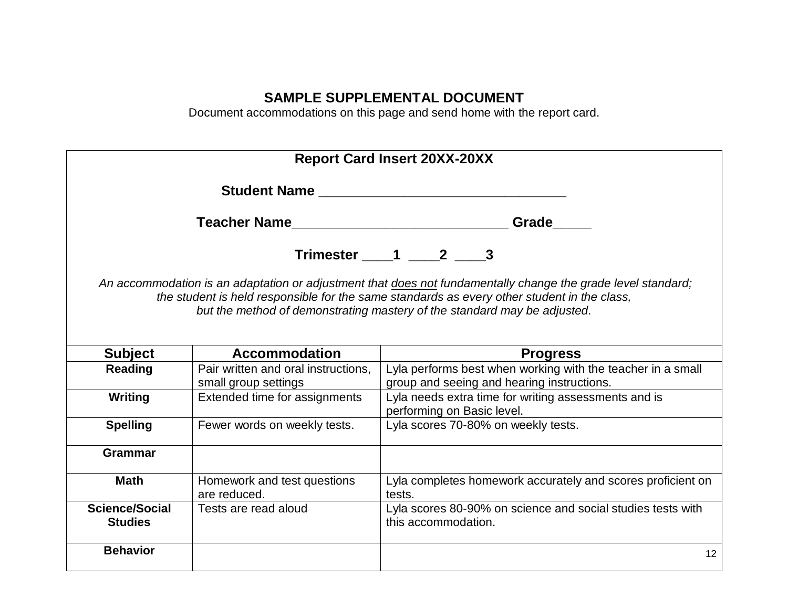# **SAMPLE SUPPLEMENTAL DOCUMENT**

Document accommodations on this page and send home with the report card.

| <b>Report Card Insert 20XX-20XX</b>                                                                                                                                                                                                                                                     |                                                             |                                                                                                           |  |  |  |
|-----------------------------------------------------------------------------------------------------------------------------------------------------------------------------------------------------------------------------------------------------------------------------------------|-------------------------------------------------------------|-----------------------------------------------------------------------------------------------------------|--|--|--|
| Student Name <b>Student Annual Student Name</b>                                                                                                                                                                                                                                         |                                                             |                                                                                                           |  |  |  |
| Teacher Name                                                                                                                                                                                                                                                                            |                                                             | Grade                                                                                                     |  |  |  |
|                                                                                                                                                                                                                                                                                         |                                                             | Trimester 1 2 3                                                                                           |  |  |  |
| An accommodation is an adaptation or adjustment that does not fundamentally change the grade level standard;<br>the student is held responsible for the same standards as every other student in the class,<br>but the method of demonstrating mastery of the standard may be adjusted. |                                                             |                                                                                                           |  |  |  |
| <b>Subject</b>                                                                                                                                                                                                                                                                          | <b>Accommodation</b>                                        | <b>Progress</b>                                                                                           |  |  |  |
| Reading                                                                                                                                                                                                                                                                                 | Pair written and oral instructions,<br>small group settings | Lyla performs best when working with the teacher in a small<br>group and seeing and hearing instructions. |  |  |  |
| Writing                                                                                                                                                                                                                                                                                 | Extended time for assignments                               | Lyla needs extra time for writing assessments and is<br>performing on Basic level.                        |  |  |  |
| <b>Spelling</b>                                                                                                                                                                                                                                                                         | Fewer words on weekly tests.                                | Lyla scores 70-80% on weekly tests.                                                                       |  |  |  |
| <b>Grammar</b>                                                                                                                                                                                                                                                                          |                                                             |                                                                                                           |  |  |  |
| <b>Math</b>                                                                                                                                                                                                                                                                             | Homework and test questions<br>are reduced.                 | Lyla completes homework accurately and scores proficient on<br>tests.                                     |  |  |  |
| <b>Science/Social</b><br><b>Studies</b>                                                                                                                                                                                                                                                 | Tests are read aloud                                        | Lyla scores 80-90% on science and social studies tests with<br>this accommodation.                        |  |  |  |
| <b>Behavior</b>                                                                                                                                                                                                                                                                         |                                                             | 12                                                                                                        |  |  |  |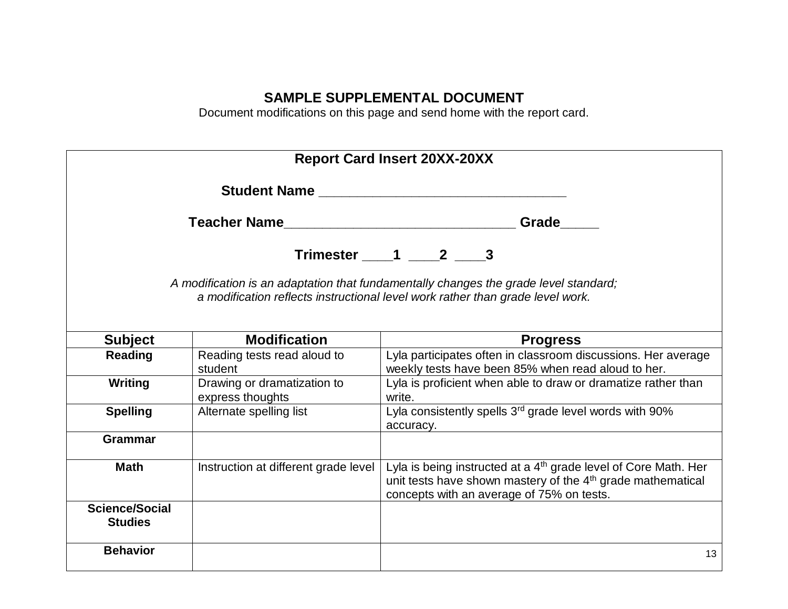# **SAMPLE SUPPLEMENTAL DOCUMENT**

Document modifications on this page and send home with the report card.

| <b>Report Card Insert 20XX-20XX</b>                                                                                                                                    |                                                 |                                                                                                                                                                                                     |  |  |  |
|------------------------------------------------------------------------------------------------------------------------------------------------------------------------|-------------------------------------------------|-----------------------------------------------------------------------------------------------------------------------------------------------------------------------------------------------------|--|--|--|
|                                                                                                                                                                        |                                                 |                                                                                                                                                                                                     |  |  |  |
|                                                                                                                                                                        |                                                 | Grade                                                                                                                                                                                               |  |  |  |
|                                                                                                                                                                        |                                                 | Trimester $1 \t 2 \t 3$                                                                                                                                                                             |  |  |  |
| A modification is an adaptation that fundamentally changes the grade level standard;<br>a modification reflects instructional level work rather than grade level work. |                                                 |                                                                                                                                                                                                     |  |  |  |
| <b>Subject</b>                                                                                                                                                         | <b>Modification</b>                             | <b>Progress</b>                                                                                                                                                                                     |  |  |  |
| <b>Reading</b>                                                                                                                                                         | Reading tests read aloud to<br>student          | Lyla participates often in classroom discussions. Her average<br>weekly tests have been 85% when read aloud to her.                                                                                 |  |  |  |
| Writing                                                                                                                                                                | Drawing or dramatization to<br>express thoughts | Lyla is proficient when able to draw or dramatize rather than<br>write.                                                                                                                             |  |  |  |
| <b>Spelling</b>                                                                                                                                                        | Alternate spelling list                         | Lyla consistently spells 3 <sup>rd</sup> grade level words with 90%<br>accuracy.                                                                                                                    |  |  |  |
| <b>Grammar</b>                                                                                                                                                         |                                                 |                                                                                                                                                                                                     |  |  |  |
| <b>Math</b>                                                                                                                                                            | Instruction at different grade level            | Lyla is being instructed at a 4 <sup>th</sup> grade level of Core Math. Her<br>unit tests have shown mastery of the 4 <sup>th</sup> grade mathematical<br>concepts with an average of 75% on tests. |  |  |  |
| <b>Science/Social</b><br><b>Studies</b>                                                                                                                                |                                                 |                                                                                                                                                                                                     |  |  |  |
| <b>Behavior</b>                                                                                                                                                        |                                                 | 13                                                                                                                                                                                                  |  |  |  |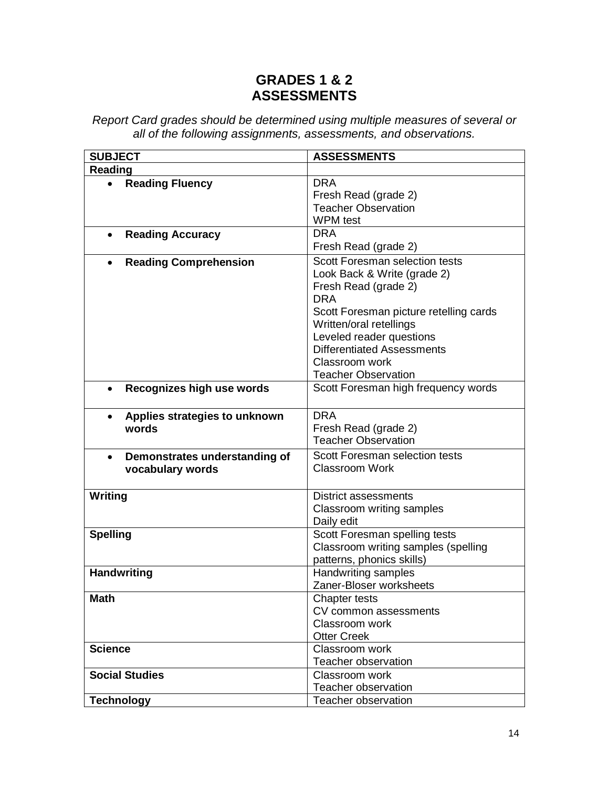# **GRADES 1 & 2 ASSESSMENTS**

| <b>SUBJECT</b>                                                 | <b>ASSESSMENTS</b>                                                                                                                                                                                                                        |  |
|----------------------------------------------------------------|-------------------------------------------------------------------------------------------------------------------------------------------------------------------------------------------------------------------------------------------|--|
| Reading                                                        |                                                                                                                                                                                                                                           |  |
| <b>Reading Fluency</b>                                         | <b>DRA</b><br>Fresh Read (grade 2)<br><b>Teacher Observation</b>                                                                                                                                                                          |  |
|                                                                | <b>WPM</b> test                                                                                                                                                                                                                           |  |
| <b>Reading Accuracy</b><br>$\bullet$                           | <b>DRA</b>                                                                                                                                                                                                                                |  |
|                                                                | Fresh Read (grade 2)                                                                                                                                                                                                                      |  |
| <b>Reading Comprehension</b><br>$\bullet$                      | Scott Foresman selection tests<br>Look Back & Write (grade 2)<br>Fresh Read (grade 2)<br><b>DRA</b><br>Scott Foresman picture retelling cards<br>Written/oral retellings<br>Leveled reader questions<br><b>Differentiated Assessments</b> |  |
|                                                                | Classroom work                                                                                                                                                                                                                            |  |
|                                                                | <b>Teacher Observation</b>                                                                                                                                                                                                                |  |
| Recognizes high use words<br>$\bullet$                         | Scott Foresman high frequency words                                                                                                                                                                                                       |  |
| Applies strategies to unknown<br>$\bullet$<br>words            | <b>DRA</b><br>Fresh Read (grade 2)<br><b>Teacher Observation</b>                                                                                                                                                                          |  |
| Demonstrates understanding of<br>$\bullet$<br>vocabulary words | Scott Foresman selection tests<br>Classroom Work                                                                                                                                                                                          |  |
| Writing                                                        | <b>District assessments</b><br>Classroom writing samples<br>Daily edit                                                                                                                                                                    |  |
| <b>Spelling</b>                                                | Scott Foresman spelling tests<br>Classroom writing samples (spelling<br>patterns, phonics skills)                                                                                                                                         |  |
| <b>Handwriting</b>                                             | Handwriting samples<br>Zaner-Bloser worksheets                                                                                                                                                                                            |  |
| <b>Math</b>                                                    | <b>Chapter tests</b><br>CV common assessments<br>Classroom work<br><b>Otter Creek</b>                                                                                                                                                     |  |
| <b>Science</b>                                                 | Classroom work<br><b>Teacher observation</b>                                                                                                                                                                                              |  |
| <b>Social Studies</b>                                          | Classroom work<br><b>Teacher observation</b>                                                                                                                                                                                              |  |
| <b>Technology</b>                                              | Teacher observation                                                                                                                                                                                                                       |  |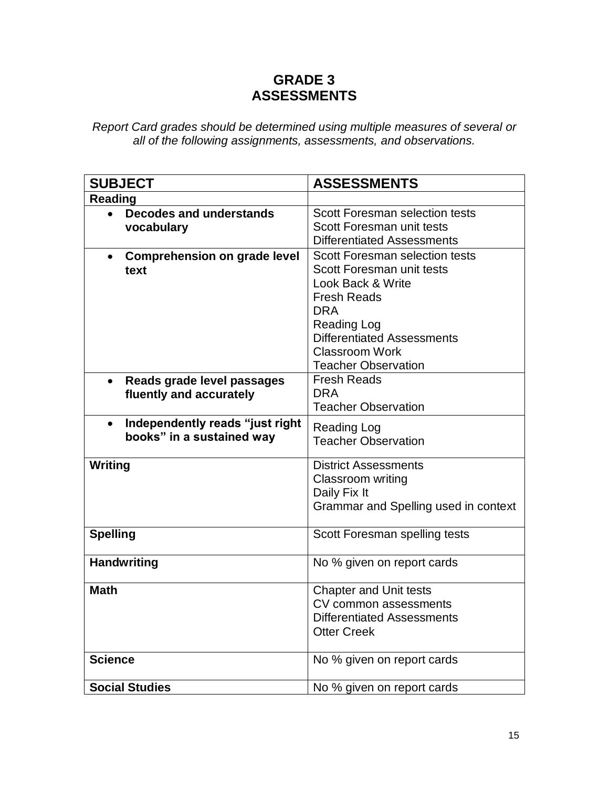# **GRADE 3 ASSESSMENTS**

| <b>SUBJECT</b>                                   | <b>ASSESSMENTS</b>                    |
|--------------------------------------------------|---------------------------------------|
| <b>Reading</b>                                   |                                       |
| <b>Decodes and understands</b><br>$\bullet$      | <b>Scott Foresman selection tests</b> |
| vocabulary                                       | Scott Foresman unit tests             |
|                                                  | <b>Differentiated Assessments</b>     |
| <b>Comprehension on grade level</b><br>$\bullet$ | <b>Scott Foresman selection tests</b> |
| text                                             | Scott Foresman unit tests             |
|                                                  | Look Back & Write                     |
|                                                  | <b>Fresh Reads</b>                    |
|                                                  | <b>DRA</b>                            |
|                                                  | <b>Reading Log</b>                    |
|                                                  | <b>Differentiated Assessments</b>     |
|                                                  | <b>Classroom Work</b>                 |
|                                                  | <b>Teacher Observation</b>            |
| Reads grade level passages<br>$\bullet$          | <b>Fresh Reads</b>                    |
| fluently and accurately                          | <b>DRA</b>                            |
|                                                  | <b>Teacher Observation</b>            |
| Independently reads "just right<br>$\bullet$     | <b>Reading Log</b>                    |
| books" in a sustained way                        | <b>Teacher Observation</b>            |
|                                                  |                                       |
| Writing                                          | <b>District Assessments</b>           |
|                                                  | Classroom writing                     |
|                                                  | Daily Fix It                          |
|                                                  | Grammar and Spelling used in context  |
|                                                  |                                       |
| <b>Spelling</b>                                  | Scott Foresman spelling tests         |
| <b>Handwriting</b>                               | No % given on report cards            |
| <b>Math</b>                                      | <b>Chapter and Unit tests</b>         |
|                                                  | CV common assessments                 |
|                                                  | <b>Differentiated Assessments</b>     |
|                                                  | <b>Otter Creek</b>                    |
| <b>Science</b>                                   | No % given on report cards            |
|                                                  |                                       |
| <b>Social Studies</b>                            | No % given on report cards            |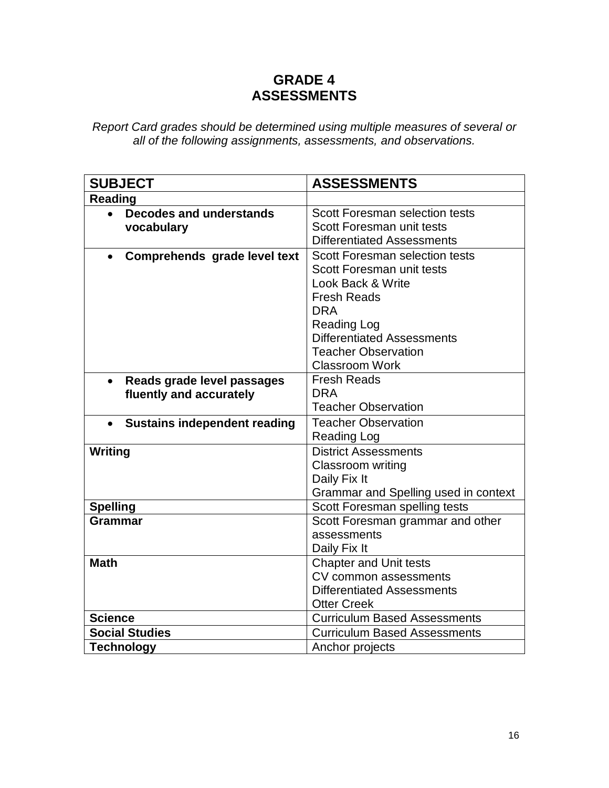# **GRADE 4 ASSESSMENTS**

| <b>SUBJECT</b>                                   | <b>ASSESSMENTS</b>                    |
|--------------------------------------------------|---------------------------------------|
| <b>Reading</b>                                   |                                       |
| <b>Decodes and understands</b><br>$\bullet$      | <b>Scott Foresman selection tests</b> |
| vocabulary                                       | Scott Foresman unit tests             |
|                                                  | <b>Differentiated Assessments</b>     |
| Comprehends grade level text<br>$\bullet$        | <b>Scott Foresman selection tests</b> |
|                                                  | Scott Foresman unit tests             |
|                                                  | Look Back & Write                     |
|                                                  | <b>Fresh Reads</b>                    |
|                                                  | <b>DRA</b>                            |
|                                                  | <b>Reading Log</b>                    |
|                                                  | <b>Differentiated Assessments</b>     |
|                                                  | <b>Teacher Observation</b>            |
|                                                  | <b>Classroom Work</b>                 |
| Reads grade level passages<br>$\bullet$          | <b>Fresh Reads</b>                    |
| fluently and accurately                          | <b>DRA</b>                            |
|                                                  | <b>Teacher Observation</b>            |
| <b>Sustains independent reading</b><br>$\bullet$ | <b>Teacher Observation</b>            |
|                                                  | Reading Log                           |
| Writing                                          | <b>District Assessments</b>           |
|                                                  | Classroom writing                     |
|                                                  | Daily Fix It                          |
|                                                  | Grammar and Spelling used in context  |
| <b>Spelling</b>                                  | Scott Foresman spelling tests         |
| <b>Grammar</b>                                   | Scott Foresman grammar and other      |
|                                                  | assessments                           |
|                                                  | Daily Fix It                          |
| <b>Math</b>                                      | <b>Chapter and Unit tests</b>         |
|                                                  | CV common assessments                 |
|                                                  | <b>Differentiated Assessments</b>     |
|                                                  | <b>Otter Creek</b>                    |
| <b>Science</b>                                   | <b>Curriculum Based Assessments</b>   |
| <b>Social Studies</b>                            | <b>Curriculum Based Assessments</b>   |
| <b>Technology</b>                                | Anchor projects                       |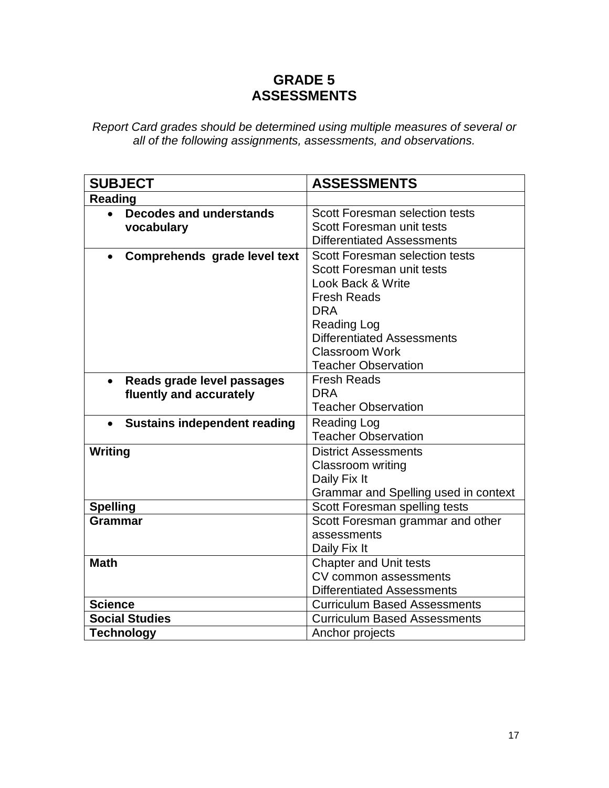# **GRADE 5 ASSESSMENTS**

| <b>SUBJECT</b>                                   | <b>ASSESSMENTS</b>                                                 |
|--------------------------------------------------|--------------------------------------------------------------------|
| <b>Reading</b>                                   |                                                                    |
| <b>Decodes and understands</b><br>vocabulary     | <b>Scott Foresman selection tests</b><br>Scott Foresman unit tests |
|                                                  | <b>Differentiated Assessments</b>                                  |
| $\bullet$                                        | <b>Scott Foresman selection tests</b>                              |
| Comprehends grade level text                     | Scott Foresman unit tests                                          |
|                                                  | Look Back & Write                                                  |
|                                                  | <b>Fresh Reads</b>                                                 |
|                                                  | <b>DRA</b>                                                         |
|                                                  | <b>Reading Log</b>                                                 |
|                                                  | <b>Differentiated Assessments</b>                                  |
|                                                  | <b>Classroom Work</b>                                              |
|                                                  | <b>Teacher Observation</b>                                         |
| Reads grade level passages<br>$\bullet$          | <b>Fresh Reads</b>                                                 |
| fluently and accurately                          | <b>DRA</b>                                                         |
|                                                  | <b>Teacher Observation</b>                                         |
| <b>Sustains independent reading</b><br>$\bullet$ | <b>Reading Log</b>                                                 |
|                                                  | <b>Teacher Observation</b>                                         |
| Writing                                          | <b>District Assessments</b>                                        |
|                                                  | Classroom writing                                                  |
|                                                  | Daily Fix It                                                       |
|                                                  | Grammar and Spelling used in context                               |
| <b>Spelling</b>                                  | Scott Foresman spelling tests                                      |
| <b>Grammar</b>                                   | Scott Foresman grammar and other                                   |
|                                                  | assessments                                                        |
|                                                  | Daily Fix It                                                       |
| <b>Math</b>                                      | <b>Chapter and Unit tests</b>                                      |
|                                                  | CV common assessments                                              |
|                                                  | <b>Differentiated Assessments</b>                                  |
| <b>Science</b>                                   | <b>Curriculum Based Assessments</b>                                |
| <b>Social Studies</b>                            | <b>Curriculum Based Assessments</b>                                |
| <b>Technology</b>                                | Anchor projects                                                    |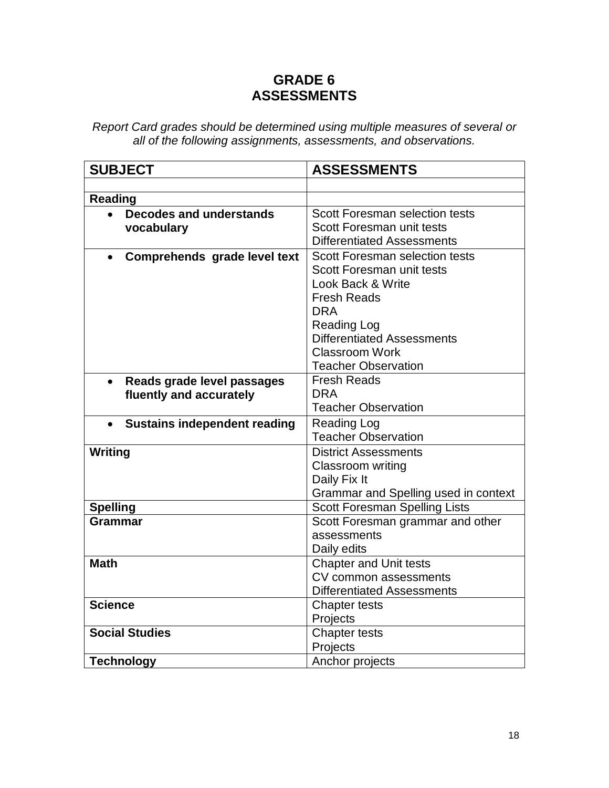# **GRADE 6 ASSESSMENTS**

| <b>SUBJECT</b>                                                     | <b>ASSESSMENTS</b>                                                                                                                                                                                                                            |
|--------------------------------------------------------------------|-----------------------------------------------------------------------------------------------------------------------------------------------------------------------------------------------------------------------------------------------|
|                                                                    |                                                                                                                                                                                                                                               |
| <b>Reading</b>                                                     |                                                                                                                                                                                                                                               |
| <b>Decodes and understands</b><br>$\bullet$<br>vocabulary          | Scott Foresman selection tests<br>Scott Foresman unit tests<br><b>Differentiated Assessments</b>                                                                                                                                              |
| Comprehends grade level text<br>$\bullet$                          | <b>Scott Foresman selection tests</b><br>Scott Foresman unit tests<br>Look Back & Write<br><b>Fresh Reads</b><br><b>DRA</b><br><b>Reading Log</b><br><b>Differentiated Assessments</b><br><b>Classroom Work</b><br><b>Teacher Observation</b> |
| Reads grade level passages<br>$\bullet$<br>fluently and accurately | <b>Fresh Reads</b><br><b>DRA</b><br><b>Teacher Observation</b>                                                                                                                                                                                |
| <b>Sustains independent reading</b><br>$\bullet$                   | <b>Reading Log</b><br><b>Teacher Observation</b>                                                                                                                                                                                              |
| Writing                                                            | <b>District Assessments</b><br>Classroom writing<br>Daily Fix It<br>Grammar and Spelling used in context                                                                                                                                      |
| <b>Spelling</b>                                                    | <b>Scott Foresman Spelling Lists</b>                                                                                                                                                                                                          |
| <b>Grammar</b>                                                     | Scott Foresman grammar and other<br>assessments<br>Daily edits                                                                                                                                                                                |
| <b>Math</b>                                                        | <b>Chapter and Unit tests</b><br>CV common assessments<br><b>Differentiated Assessments</b>                                                                                                                                                   |
| <b>Science</b>                                                     | Chapter tests<br>Projects                                                                                                                                                                                                                     |
| <b>Social Studies</b>                                              | Chapter tests<br>Projects                                                                                                                                                                                                                     |
| <b>Technology</b>                                                  | Anchor projects                                                                                                                                                                                                                               |